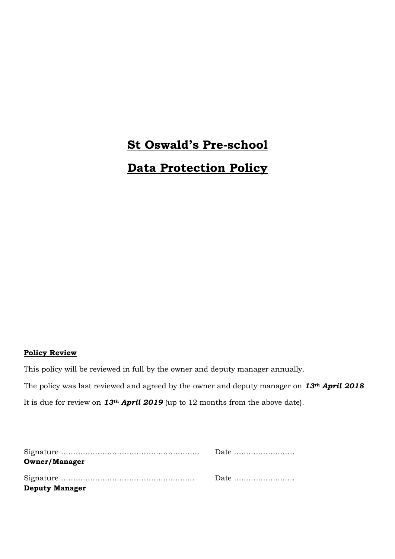# **St Oswald's Pre-school Data Protection Policy**

# **Policy Review**

This policy will be reviewed in full by the owner and deputy manager annually.

The policy was last reviewed and agreed by the owner and deputy manager on *13th April 2018* It is due for review on *13th April 2019* (up to 12 months from the above date).

|                       | Date |
|-----------------------|------|
| <b>Owner/Manager</b>  |      |
|                       | Date |
| <b>Deputy Manager</b> |      |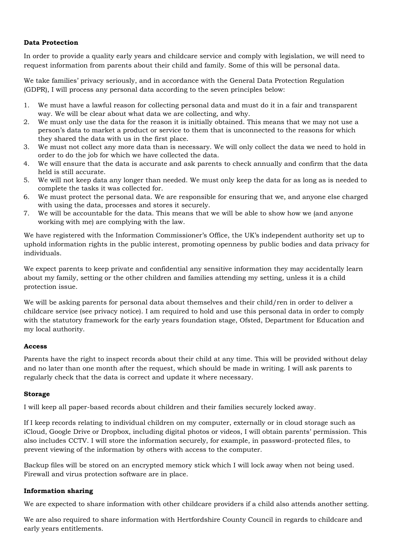# **Data Protection**

In order to provide a quality early years and childcare service and comply with legislation, we will need to request information from parents about their child and family. Some of this will be personal data.

We take families' privacy seriously, and in accordance with the General Data Protection Regulation (GDPR), I will process any personal data according to the seven principles below:

- 1. We must have a lawful reason for collecting personal data and must do it in a fair and transparent way. We will be clear about what data we are collecting, and why.
- 2. We must only use the data for the reason it is initially obtained. This means that we may not use a person's data to market a product or service to them that is unconnected to the reasons for which they shared the data with us in the first place.
- 3. We must not collect any more data than is necessary. We will only collect the data we need to hold in order to do the job for which we have collected the data.
- 4. We will ensure that the data is accurate and ask parents to check annually and confirm that the data held is still accurate.
- 5. We will not keep data any longer than needed. We must only keep the data for as long as is needed to complete the tasks it was collected for.
- 6. We must protect the personal data. We are responsible for ensuring that we, and anyone else charged with using the data, processes and stores it securely.
- 7. We will be accountable for the data. This means that we will be able to show how we (and anyone working with me) are complying with the law.

We have registered with the Information Commissioner's Office, the UK's independent authority set up to uphold information rights in the public interest, promoting openness by public bodies and data privacy for individuals.

We expect parents to keep private and confidential any sensitive information they may accidentally learn about my family, setting or the other children and families attending my setting, unless it is a child protection issue.

We will be asking parents for personal data about themselves and their child/ren in order to deliver a childcare service (see privacy notice). I am required to hold and use this personal data in order to comply with the statutory framework for the early years foundation stage, Ofsted, Department for Education and my local authority.

#### **Access**

Parents have the right to inspect records about their child at any time. This will be provided without delay and no later than one month after the request, which should be made in writing. I will ask parents to regularly check that the data is correct and update it where necessary.

#### **Storage**

I will keep all paper-based records about children and their families securely locked away*.*

If I keep records relating to individual children on my computer, externally or in cloud storage such as iCloud, Google Drive or Dropbox, including digital photos or videos, I will obtain parents' permission. This also includes CCTV. I will store the information securely, for example, in password-protected files, to prevent viewing of the information by others with access to the computer.

Backup files will be stored on an encrypted memory stick which I will lock away when not being used. Firewall and virus protection software are in place.

#### **Information sharing**

We are expected to share information with other childcare providers if a child also attends another setting.

We are also required to share information with Hertfordshire County Council in regards to childcare and early years entitlements.